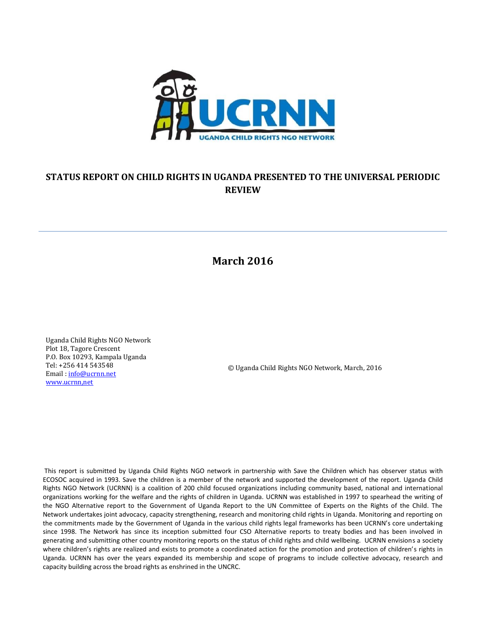

## **STATUS REPORT ON CHILD RIGHTS IN UGANDA PRESENTED TO THE UNIVERSAL PERIODIC REVIEW**

# **March 2016**

Uganda Child Rights NGO Network Plot 18, Tagore Crescent P.O. Box 10293, Kampala Uganda Tel: +256 414 543548 Email [: info@ucrnn.net](mailto:info@ucrnn.net) [www.ucrnn,net](http://www.ucrnn,net/)

© Uganda Child Rights NGO Network, March, 2016

This report is submitted by Uganda Child Rights NGO network in partnership with Save the Children which has observer status with ECOSOC acquired in 1993. Save the children is a member of the network and supported the development of the report. Uganda Child Rights NGO Network (UCRNN) is a coalition of 200 child focused organizations including community based, national and international organizations working for the welfare and the rights of children in Uganda. UCRNN was established in 1997 to spearhead the writing of the NGO Alternative report to the Government of Uganda Report to the UN Committee of Experts on the Rights of the Child. The Network undertakes joint advocacy, capacity strengthening, research and monitoring child rights in Uganda. Monitoring and reporting on the commitments made by the Government of Uganda in the various child rights legal frameworks has been UCRNN's core undertaking since 1998. The Network has since its inception submitted four CSO Alternative reports to treaty bodies and has been involved in generating and submitting other country monitoring reports on the status of child rights and child wellbeing. UCRNN envisions a society where children's rights are realized and exists to promote a coordinated action for the promotion and protection of children's rights in Uganda. UCRNN has over the years expanded its membership and scope of programs to include collective advocacy, research and capacity building across the broad rights as enshrined in the UNCRC.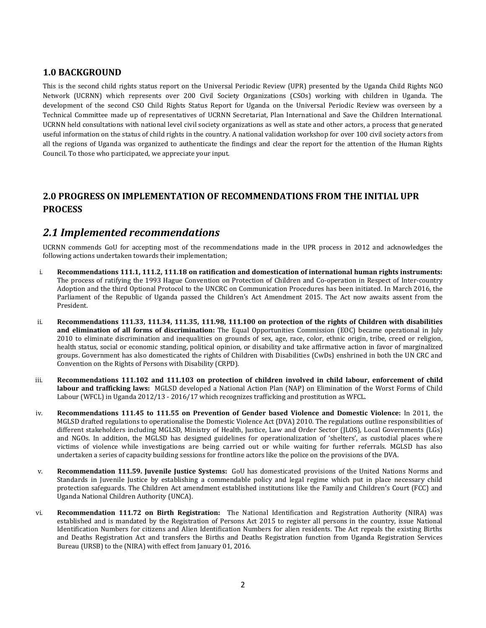## **1.0 BACKGROUND**

This is the second child rights status report on the Universal Periodic Review (UPR) presented by the Uganda Child Rights NGO Network (UCRNN) which represents over 200 Civil Society Organizations (CSOs) working with children in Uganda. The development of the second CSO Child Rights Status Report for Uganda on the Universal Periodic Review was overseen by a Technical Committee made up of representatives of UCRNN Secretariat, Plan International and Save the Children International. UCRNN held consultations with national level civil society organizations as well as state and other actors, a process that generated useful information on the status of child rights in the country. A national validation workshop for over 100 civil society actors from all the regions of Uganda was organized to authenticate the findings and clear the report for the attention of the Human Rights Council. To those who participated, we appreciate your input.

## **2.0 PROGRESS ON IMPLEMENTATION OF RECOMMENDATIONS FROM THE INITIAL UPR PROCESS**

## *2.1 Implemented recommendations*

UCRNN commends GoU for accepting most of the recommendations made in the UPR process in 2012 and acknowledges the following actions undertaken towards their implementation;

- i. **Recommendations 111.1, 111.2, 111.18 on ratification and domestication of international human rights instruments:** The process of ratifying the 1993 Hague Convention on Protection of Children and Co-operation in Respect of Inter-country Adoption and the third Optional Protocol to the UNCRC on Communication Procedures has been initiated. In March 2016, the Parliament of the Republic of Uganda passed the Children's Act Amendment 2015. The Act now awaits assent from the President.
- ii. **Recommendations 111.33, 111.34, 111.35, 111.98, 111.100 on protection of the rights of Children with disabilities and elimination of all forms of discrimination:** The Equal Opportunities Commission (EOC) became operational in July 2010 to eliminate discrimination and inequalities on grounds of sex, age, race, color, ethnic origin, tribe, creed or religion, health status, social or economic standing, political opinion, or disability and take affirmative action in favor of marginalized groups. Government has also domesticated the rights of Children with Disabilities (CwDs) enshrined in both the UN CRC and Convention on the Rights of Persons with Disability (CRPD).
- iii. **Recommendations 111.102 and 111.103 on protection of children involved in child labour, enforcement of child labour and trafficking laws:** MGLSD developed a National Action Plan (NAP) on Elimination of the Worst Forms of Child Labour (WFCL) in Uganda 2012/13 - 2016/17 which recognizes trafficking and prostitution as WFCL.
- iv. **Recommendations 111.45 to 111.55 on Prevention of Gender based Violence and Domestic Violence:** In 2011, the MGLSD drafted regulations to operationalise the Domestic Violence Act (DVA) 2010. The regulations outline responsibilities of different stakeholders including MGLSD, Ministry of Health, Justice, Law and Order Sector (JLOS), Local Governments (LGs) and NGOs. In addition, the MGLSD has designed guidelines for operationalization of 'shelters', as custodial places where victims of violence while investigations are being carried out or while waiting for further referrals. MGLSD has also undertaken a series of capacity building sessions for frontline actors like the police on the provisions of the DVA.
- v. **Recommendation 111.59. Juvenile Justice Systems:** GoU has domesticated provisions of the United Nations Norms and Standards in Juvenile Justice by establishing a commendable policy and legal regime which put in place necessary child protection safeguards. The Children Act amendment established institutions like the Family and Children's Court (FCC) and Uganda National Children Authority (UNCA).
- vi. **Recommendation 111.72 on Birth Registration:** The National Identification and Registration Authority (NIRA) was established and is mandated by the Registration of Persons Act 2015 to register all persons in the country, issue National Identification Numbers for citizens and Alien Identification Numbers for alien residents. The Act repeals the existing Births and Deaths Registration Act and transfers the Births and Deaths Registration function from Uganda Registration Services Bureau (URSB) to the (NIRA) with effect from January 01, 2016.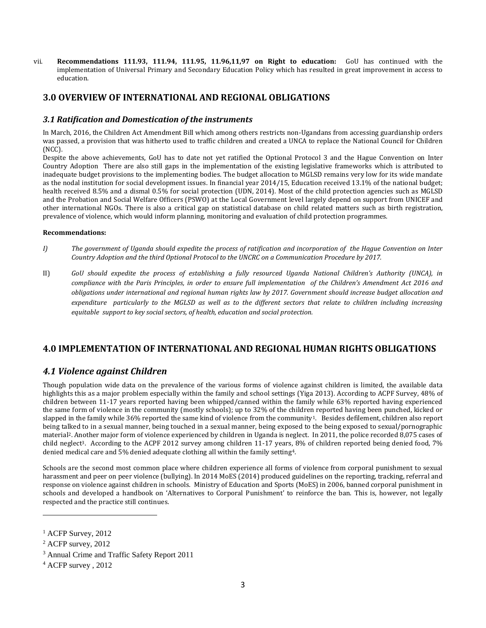vii. **Recommendations 111.93, 111.94, 111.95, 11.96,11,97 on Right to education:** GoU has continued with the implementation of Universal Primary and Secondary Education Policy which has resulted in great improvement in access to education.

## **3.0 OVERVIEW OF INTERNATIONAL AND REGIONAL OBLIGATIONS**

### *3.1 Ratification and Domestication of the instruments*

In March, 2016, the Children Act Amendment Bill which among others restricts non-Ugandans from accessing guardianship orders was passed, a provision that was hitherto used to traffic children and created a UNCA to replace the National Council for Children (NCC).

Despite the above achievements, GoU has to date not yet ratified the Optional Protocol 3 and the Hague Convention on Inter Country Adoption There are also still gaps in the implementation of the existing legislative frameworks which is attributed to inadequate budget provisions to the implementing bodies. The budget allocation to MGLSD remains very low for its wide mandate as the nodal institution for social development issues. In financial year 2014/15, Education received 13.1% of the national budget; health received 8.5% and a dismal 0.5% for social protection (UDN, 2014). Most of the child protection agencies such as MGLSD and the Probation and Social Welfare Officers (PSWO) at the Local Government level largely depend on support from UNICEF and other international NGOs. There is also a critical gap on statistical database on child related matters such as birth registration, prevalence of violence, which would inform planning, monitoring and evaluation of child protection programmes.

### **Recommendations:**

- *I) The government of Uganda should expedite the process of ratification and incorporation of the Hague Convention on Inter Country Adoption and the third Optional Protocol to the UNCRC on a Communication Procedure by 2017.*
- II) *GoU should expedite the process of establishing a fully resourced Uganda National Children's Authority (UNCA), in compliance with the Paris Principles, in order to ensure full implementation of the Children's Amendment Act 2016 and obligations under international and regional human rights law by 2017. Government should increase budget allocation and*  expenditure particularly to the MGLSD as well as to the different sectors that relate to children including increasing *equitable support to key social sectors, of health, education and social protection.*

## **4.0 IMPLEMENTATION OF INTERNATIONAL AND REGIONAL HUMAN RIGHTS OBLIGATIONS**

## *4.1 Violence against Children*

Though population wide data on the prevalence of the various forms of violence against children is limited, the available data highlights this as a major problem especially within the family and school settings (Yiga 2013). According to ACPF Survey, 48% of children between 11-17 years reported having been whipped/canned within the family while 63% reported having experienced the same form of violence in the community (mostly schools); up to 32% of the children reported having been punched, kicked or slapped in the family while 36% reported the same kind of violence from the community1. Besides defilement, children also report being talked to in a sexual manner, being touched in a sexual manner, being exposed to the being exposed to sexual/pornographic material2. Another major form of violence experienced by children in Uganda is neglect. In 2011, the police recorded 8,075 cases of child neglect3. According to the ACPF 2012 survey among children 11-17 years, 8% of children reported being denied food, 7% denied medical care and 5% denied adequate clothing all within the family setting4.

Schools are the second most common place where children experience all forms of violence from corporal punishment to sexual harassment and peer on peer violence (bullying). In 2014 MoES (2014) produced guidelines on the reporting, tracking, referral and response on violence against children in schools. Ministry of Education and Sports (MoES) in 2006, banned corporal punishment in schools and developed a handbook on 'Alternatives to Corporal Punishment' to reinforce the ban. This is, however, not legally respected and the practice still continues.

 $\overline{\phantom{a}}$ 

<sup>&</sup>lt;sup>1</sup> ACFP Survey, 2012

<sup>2</sup> ACFP survey, 2012

<sup>3</sup> Annual Crime and Traffic Safety Report 2011

<sup>4</sup> ACFP survey , 2012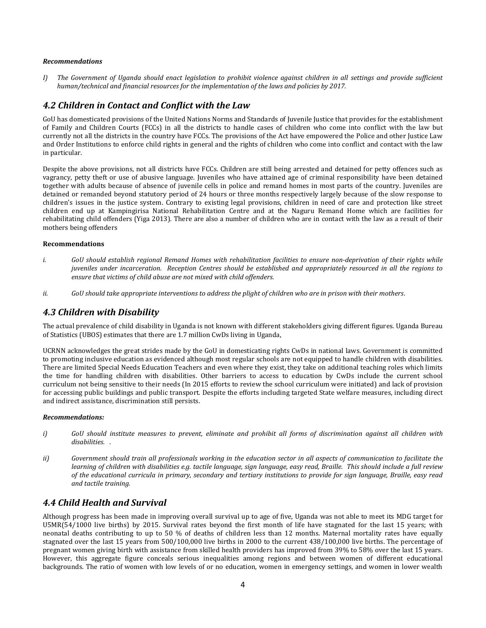#### *Recommendations*

*I) The Government of Uganda should enact legislation to prohibit violence against children in all settings and provide sufficient human/technical and financial resources for the implementation of the laws and policies by 2017.*

### *4.2 Children in Contact and Conflict with the Law*

GoU has domesticated provisions of the United Nations Norms and Standards of Juvenile Justice that provides for the establishment of Family and Children Courts (FCCs) in all the districts to handle cases of children who come into conflict with the law but currently not all the districts in the country have FCCs. The provisions of the Act have empowered the Police and other Justice Law and Order Institutions to enforce child rights in general and the rights of children who come into conflict and contact with the law in particular.

Despite the above provisions, not all districts have FCCs. Children are still being arrested and detained for petty offences such as vagrancy, petty theft or use of abusive language. Juveniles who have attained age of criminal responsibility have been detained together with adults because of absence of juvenile cells in police and remand homes in most parts of the country. Juveniles are detained or remanded beyond statutory period of 24 hours or three months respectively largely because of the slow response to children's issues in the justice system. Contrary to existing legal provisions, children in need of care and protection like street children end up at Kampingirisa National Rehabilitation Centre and at the Naguru Remand Home which are facilities for rehabilitating child offenders (Yiga 2013). There are also a number of children who are in contact with the law as a result of their mothers being offenders

#### **Recommendations**

- *i. GoU should establish regional Remand Homes with rehabilitation facilities to ensure non-deprivation of their rights while juveniles under incarceration. Reception Centres should be established and appropriately resourced in all the regions to ensure that victims of child abuse are not mixed with child offenders.*
- *ii. GoU should take appropriate interventions to address the plight of children who are in prison with their mothers.*

## *4.3 Children with Disability*

The actual prevalence of child disability in Uganda is not known with different stakeholders giving different figures. Uganda Bureau of Statistics (UBOS) estimates that there are 1.7 million CwDs living in Uganda,

UCRNN acknowledges the great strides made by the GoU in domesticating rights CwDs in national laws. Government is committed to promoting inclusive education as evidenced although most regular schools are not equipped to handle children with disabilities. There are limited Special Needs Education Teachers and even where they exist, they take on additional teaching roles which limits the time for handling children with disabilities. Other barriers to access to education by CwDs include the current school curriculum not being sensitive to their needs (In 2015 efforts to review the school curriculum were initiated) and lack of provision for accessing public buildings and public transport. Despite the efforts including targeted State welfare measures, including direct and indirect assistance, discrimination still persists.

#### *Recommendations:*

- *i) GoU should institute measures to prevent, eliminate and prohibit all forms of discrimination against all children with disabilities. .*
- *ii) Government should train all professionals working in the education sector in all aspects of communication to facilitate the learning of children with disabilities e.g. tactile language, sign language, easy read, Braille. This should include a full review of the educational curricula in primary, secondary and tertiary institutions to provide for sign language, Braille, easy read and tactile training.*

### *4.4 Child Health and Survival*

Although progress has been made in improving overall survival up to age of five, Uganda was not able to meet its MDG target for U5MR(54/1000 live births) by 2015. Survival rates beyond the first month of life have stagnated for the last 15 years; with neonatal deaths contributing to up to 50 % of deaths of children less than 12 months. Maternal mortality rates have equally stagnated over the last 15 years from 500/100,000 live births in 2000 to the current 438/100,000 live births. The percentage of pregnant women giving birth with assistance from skilled health providers has improved from 39% to 58% over the last 15 years. However, this aggregate figure conceals serious inequalities among regions and between women of different educational backgrounds. The ratio of women with low levels of or no education, women in emergency settings, and women in lower wealth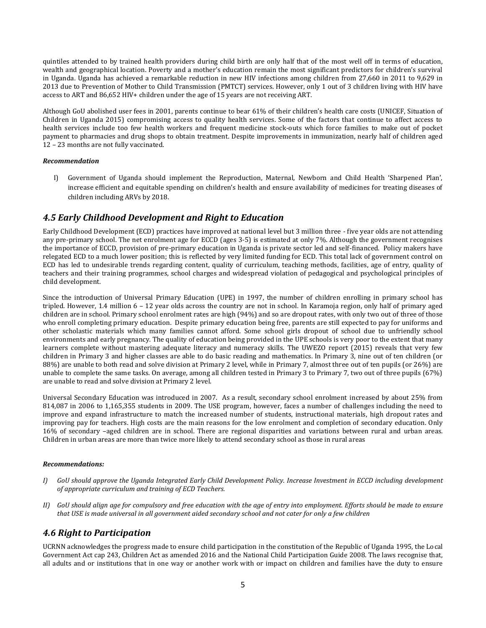quintiles attended to by trained health providers during child birth are only half that of the most well off in terms of education, wealth and geographical location. Poverty and a mother's education remain the most significant predictors for children's survival in Uganda. Uganda has achieved a remarkable reduction in new HIV infections among children from 27,660 in 2011 to 9,629 in 2013 due to Prevention of Mother to Child Transmission (PMTCT) services. However, only 1 out of 3 children living with HIV have access to ART and 86,652 HIV+ children under the age of 15 years are not receiving ART.

Although GoU abolished user fees in 2001, parents continue to bear 61% of their children's health care costs (UNICEF, Situation of Children in Uganda 2015) compromising access to quality health services. Some of the factors that continue to affect access to health services include too few health workers and frequent medicine stock-outs which force families to make out of pocket payment to pharmacies and drug shops to obtain treatment. Despite improvements in immunization, nearly half of children aged 12 – 23 months are not fully vaccinated.

#### *Recommendation*

I) Government of Uganda should implement the Reproduction, Maternal, Newborn and Child Health 'Sharpened Plan', increase efficient and equitable spending on children's health and ensure availability of medicines for treating diseases of children including ARVs by 2018.

## *4.5 Early Childhood Development and Right to Education*

Early Childhood Development (ECD) practices have improved at national level but 3 million three - five year olds are not attending any pre-primary school. The net enrolment age for ECCD (ages 3-5) is estimated at only 7%. Although the government recognises the importance of ECCD, provision of pre-primary education in Uganda is private sector led and self-financed. Policy makers have relegated ECD to a much lower position; this is reflected by very limited funding for ECD. This total lack of government control on ECD has led to undesirable trends regarding content, quality of curriculum, teaching methods, facilities, age of entry, quality of teachers and their training programmes, school charges and widespread violation of pedagogical and psychological principles of child development.

Since the introduction of Universal Primary Education (UPE) in 1997, the number of children enrolling in primary school has tripled. However, 1.4 million 6 – 12 year olds across the country are not in school. In Karamoja region, only half of primary aged children are in school. Primary school enrolment rates are high (94%) and so are dropout rates, with only two out of three of those who enroll completing primary education. Despite primary education being free, parents are still expected to pay for uniforms and other scholastic materials which many families cannot afford. Some school girls dropout of school due to unfriendly school environments and early pregnancy. The quality of education being provided in the UPE schools is very poor to the extent that many learners complete without mastering adequate literacy and numeracy skills. The UWEZO report (2015) reveals that very few children in Primary 3 and higher classes are able to do basic reading and mathematics. In Primary 3, nine out of ten children (or 88%) are unable to both read and solve division at Primary 2 level, while in Primary 7, almost three out of ten pupils (or 26%) are unable to complete the same tasks. On average, among all children tested in Primary 3 to Primary 7, two out of three pupils (67%) are unable to read and solve division at Primary 2 level.

Universal Secondary Education was introduced in 2007. As a result, secondary school enrolment increased by about 25% from 814,087 in 2006 to 1,165,355 students in 2009. The USE program, however, faces a number of challenges including the need to improve and expand infrastructure to match the increased number of students, instructional materials, high dropout rates and improving pay for teachers. High costs are the main reasons for the low enrolment and completion of secondary education. Only 16% of secondary –aged children are in school. There are regional disparities and variations between rural and urban areas. Children in urban areas are more than twice more likely to attend secondary school as those in rural areas

#### *Recommendations:*

- *I) GoU should approve the Uganda Integrated Early Child Development Policy. Increase Investment in ECCD including development of appropriate curriculum and training of ECD Teachers.*
- *II) GoU should align age for compulsory and free education with the age of entry into employment. Efforts should be made to ensure that USE is made universal in all government aided secondary school and not cater for only a few children*

### *4.6 Right to Participation*

UCRNN acknowledges the progress made to ensure child participation in the constitution of the Republic of Uganda 1995, the Local Government Act cap 243, Children Act as amended 2016 and the National Child Participation Guide 2008. The laws recognise that, all adults and or institutions that in one way or another work with or impact on children and families have the duty to ensure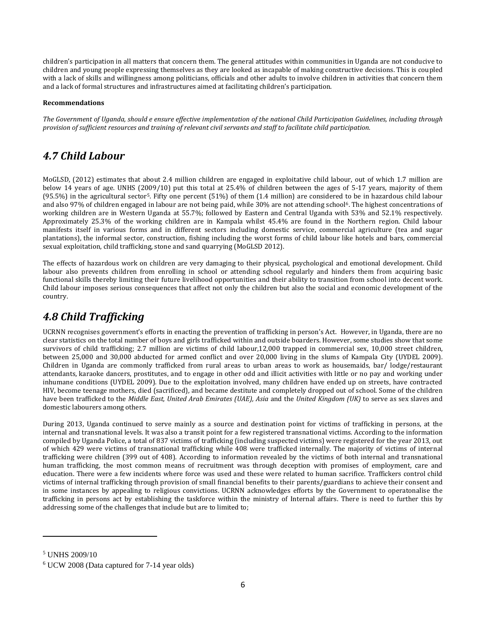children's participation in all matters that concern them. The general attitudes within communities in Uganda are not conducive to children and young people expressing themselves as they are looked as incapable of making constructive decisions. This is coupled with a lack of skills and willingness among politicians, officials and other adults to involve children in activities that concern them and a lack of formal structures and infrastructures aimed at facilitating children's participation.

### **Recommendations**

*The Government of Uganda, should e ensure effective implementation of the national Child Participation Guidelines, including through provision of sufficient resources and training of relevant civil servants and staff to facilitate child participation.*

# *4.7 Child Labour*

MoGLSD, (2012) estimates that about 2.4 million children are engaged in exploitative child labour, out of which 1.7 million are below 14 years of age. UNHS (2009/10) put this total at 25.4% of children between the ages of 5-17 years, majority of them (95.5%) in the agricultural sector5. Fifty one percent (51%) of them (1.4 million) are considered to be in hazardous child labour and also 97% of children engaged in labour are not being paid, while 30% are not attending school<sup>6</sup>. The highest concentrations of working children are in Western Uganda at 55.7%; followed by Eastern and Central Uganda with 53% and 52.1% respectively. Approximately 25.3% of the working children are in Kampala whilst 45.4% are found in the Northern region. Child labour manifests itself in various forms and in different sectors including domestic service, commercial agriculture (tea and sugar plantations), the informal sector, construction, fishing including the worst forms of child labour like hotels and bars, commercial sexual exploitation, child trafficking, stone and sand quarrying (MoGLSD 2012).

The effects of hazardous work on children are very damaging to their physical, psychological and emotional development. Child labour also prevents children from enrolling in school or attending school regularly and hinders them from acquiring basic functional skills thereby limiting their future livelihood opportunities and their ability to transition from school into decent work. Child labour imposes serious consequences that affect not only the children but also the social and economic development of the country.

# *4.8 Child Trafficking*

UCRNN recognises government's efforts in enacting the prevention of trafficking in person's Act. However, in Uganda, there are no clear statistics on the total number of boys and girls trafficked within and outside boarders. However, some studies show that some survivors of child trafficking; 2.7 million are victims of child labour,12,000 trapped in commercial sex, 10,000 street children, between 25,000 and 30,000 abducted for armed conflict and over 20,000 living in the slums of Kampala City (UYDEL 2009). Children in Uganda are commonly trafficked from rural areas to urban areas to work as housemaids, bar/ lodge/restaurant attendants, karaoke dancers, prostitutes, and to engage in other odd and illicit activities with little or no pay and working under inhumane conditions (UYDEL 2009). Due to the exploitation involved, many children have ended up on streets, have contracted HIV, become teenage mothers, died (sacrificed), and became destitute and completely dropped out of school. Some of the children have been trafficked to the *Middle East, United Arab Emirates (UAE), Asia* and the *United Kingdom (UK)* to serve as sex slaves and domestic labourers among others.

During 2013, Uganda continued to serve mainly as a source and destination point for victims of trafficking in persons, at the internal and transnational levels. It was also a transit point for a few registered transnational victims. According to the information compiled by Uganda Police, a total of 837 victims of trafficking (including suspected victims) were registered for the year 2013, out of which 429 were victims of transnational trafficking while 408 were trafficked internally. The majority of victims of internal trafficking were children (399 out of 408). According to information revealed by the victims of both internal and transnational human trafficking, the most common means of recruitment was through deception with promises of employment, care and education. There were a few incidents where force was used and these were related to human sacrifice. Traffickers control child victims of internal trafficking through provision of small financial benefits to their parents/guardians to achieve their consent and in some instances by appealing to religious convictions. UCRNN acknowledges efforts by the Government to operatonalise the trafficking in persons act by establishing the taskforce within the ministry of Internal affairs. There is need to further this by addressing some of the challenges that include but are to limited to;

 $\overline{a}$ 

<sup>5</sup> UNHS 2009/10

<sup>6</sup> UCW 2008 (Data captured for 7-14 year olds)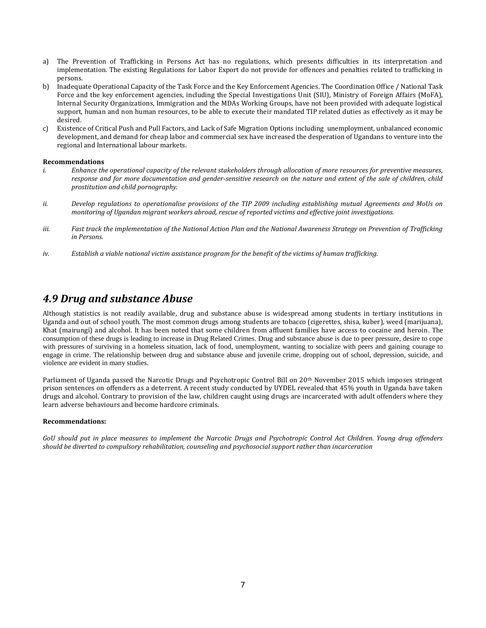- a) The Prevention of Trafficking in Persons Act has no regulations, which presents difficulties in its interpretation and implementation. The existing Regulations for Labor Export do not provide for offences and penalties related to trafficking in persons.
- b) Inadequate Operational Capacity of the Task Force and the Key Enforcement Agencies. The Coordination Office / National Task Force and the key enforcement agencies, including the Special Investigations Unit (SIU), Ministry of Foreign Affairs (MoFA), Internal Security Organizations, Immigration and the MDAs Working Groups, have not been provided with adequate logistical support, human and non human resources, to be able to execute their mandated TIP related duties as effectively as it may be desired.
- c) Existence of Critical Push and Pull Factors, and Lack of Safe Migration Options including unemployment, unbalanced economic development, and demand for cheap labor and commercial sex have increased the desperation of Ugandans to venture into the regional and International labour markets.

#### **Recommendations**

- *i. Enhance the operational capacity of the relevant stakeholders through allocation of more resources for preventive measures, response and for more documentation and gender-sensitive research on the nature and extent of the sale of children, child prostitution and child pornography.*
- *ii. Develop regulations to operationalise provisions of the TIP 2009 including establishing mutual Agreements and MoUs on monitoring of Ugandan migrant workers abroad, rescue of reported victims and effective joint investigations.*
- *iii. Fast track the implementation of the National Action Plan and the National Awareness Strategy on Prevention of Trafficking in Persons.*
- *iv. Establish a viable national victim assistance program for the benefit of the victims of human trafficking.*

## *4.9 Drug and substance Abuse*

Although statistics is not readily available, drug and substance abuse is widespread among students in tertiary institutions in Uganda and out of school youth. The most common drugs among students are tobacco (cigerettes, shisa, kuber), weed (marijuana), Khat (mairungi) and alcohol. It has been noted that some children from affluent families have access to cocaine and heroin. The consumption of these drugs is leading to increase in Drug Related Crimes. Drug and substance abuse is due to peer pressure, desire to cope with pressures of surviving in a homeless situation, lack of food, unemployment, wanting to socialize with peers and gaining courage to engage in crime. The relationship between drug and substance abuse and juvenile crime, dropping out of school, depression, suicide, and violence are evident in many studies.

Parliament of Uganda passed the Narcotic Drugs and Psychotropic Control Bill on 20<sup>th</sup> November 2015 which imposes stringent prison sentences on offenders as a deterrent. A recent study conducted by UYDEL revealed that 45% youth in Uganda have taken drugs and alcohol. Contrary to provision of the law, children caught using drugs are incarcerated with adult offenders where they learn adverse behaviours and become hardcore criminals.

#### **Recommendations:**

*GoU should put in place measures to implement the Narcotic Drugs and Psychotropic Control Act Children. Young drug offenders should be diverted to compulsory rehabilitation, counseling and psychosocial support rather than incarceration*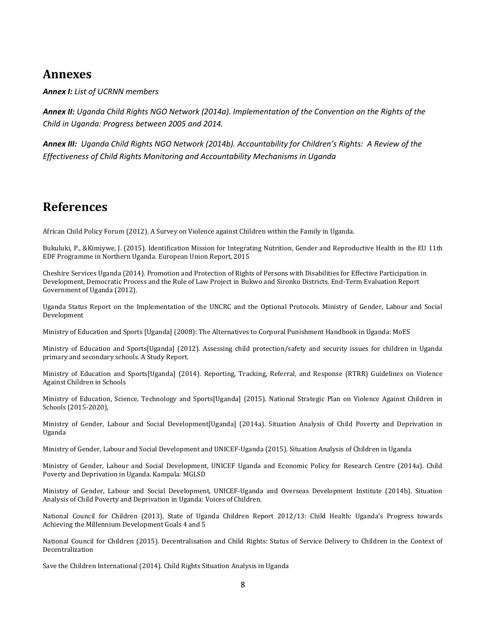# **Annexes**

*Annex I: List of UCRNN members* 

*Annex II: Uganda Child Rights NGO Network (2014a). Implementation of the Convention on the Rights of the Child in Uganda: Progress between 2005 and 2014.*

*Annex III: Uganda Child Rights NGO Network (2014b). Accountability for Children's Rights: A Review of the Effectiveness of Child Rights Monitoring and Accountability Mechanisms in Uganda*

# **References**

African Child Policy Forum (2012). A Survey on Violence against Children within the Family in Uganda.

Bukuluki, P., &Kimiywe, J. (2015). Identification Mission for Integrating Nutrition, Gender and Reproductive Health in the EU 11th EDF Programme in Northern Uganda. European Union Report, 2015

Cheshire Services Uganda (2014). Promotion and Protection of Rights of Persons with Disabilities for Effective Participation in Development, Democratic Process and the Rule of Law Project in Bukwo and Sironko Districts. End-Term Evaluation Report Government of Uganda (2012).

Uganda Status Report on the Implementation of the UNCRC and the Optional Protocols. Ministry of Gender, Labour and Social Development

Ministry of Education and Sports [Uganda] (2008): The Alternatives to Corporal Punishment Handbook in Uganda: MoES

Ministry of Education and Sports[Uganda] (2012). Assessing child protection/safety and security issues for children in Uganda primary and secondary schools. A Study Report.

Ministry of Education and Sports[Uganda] (2014). Reporting, Tracking, Referral, and Response (RTRR) Guidelines on Violence Against Children in Schools

Ministry of Education, Science, Technology and Sports[Uganda] (2015). National Strategic Plan on Violence Against Children in Schools (2015-2020),

Ministry of Gender, Labour and Social Development[Uganda] (2014a). Situation Analysis of Child Poverty and Deprivation in Uganda

Ministry of Gender, Labour and Social Development and UNICEF-Uganda (2015). Situation Analysis of Children in Uganda

Ministry of Gender, Labour and Social Development, UNICEF Uganda and Economic Policy for Research Centre (2014a). Child Poverty and Deprivation in Uganda. Kampala: MGLSD

Ministry of Gender, Labour and Social Development, UNICEF-Uganda and Overseas Development Institute (2014b). Situation Analysis of Child Poverty and Deprivation in Uganda: Voices of Children.

National Council for Children (2013). State of Uganda Children Report 2012/13: Child Health: Uganda's Progress towards Achieving the Millennium Development Goals 4 and 5

National Council for Children (2015). Decentralisation and Child Rights: Status of Service Delivery to Children in the Context of Decentralization

Save the Children International (2014). Child Rights Situation Analysis in Uganda